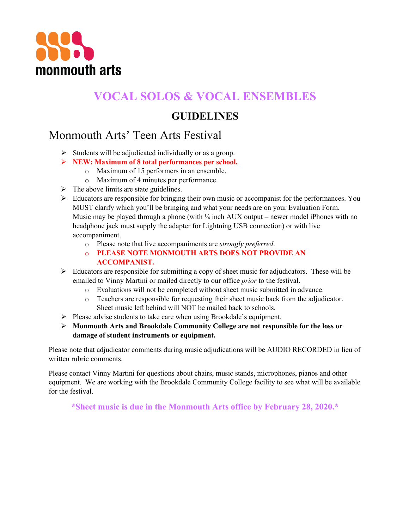

## **VOCAL SOLOS & VOCAL ENSEMBLES**

## **GUIDELINES**

## Monmouth Arts' Teen Arts Festival

- $\triangleright$  Students will be adjudicated individually or as a group.
- Ø **NEW: Maximum of 8 total performances per school.**
	- o Maximum of 15 performers in an ensemble.
	- o Maximum of 4 minutes per performance.
- $\triangleright$  The above limits are state guidelines.
- $\triangleright$  Educators are responsible for bringing their own music or accompanist for the performances. You MUST clarify which you'll be bringing and what your needs are on your Evaluation Form. Music may be played through a phone (with  $\frac{1}{4}$  inch AUX output – newer model iPhones with no headphone jack must supply the adapter for Lightning USB connection) or with live accompaniment.
	- o Please note that live accompaniments are *strongly preferred*.
	- o **PLEASE NOTE MONMOUTH ARTS DOES NOT PROVIDE AN ACCOMPANIST.**
- $\triangleright$  Educators are responsible for submitting a copy of sheet music for adjudicators. These will be emailed to Vinny Martini or mailed directly to our office *prior* to the festival.
	- o Evaluations will not be completed without sheet music submitted in advance.
	- o Teachers are responsible for requesting their sheet music back from the adjudicator. Sheet music left behind will NOT be mailed back to schools.
- $\triangleright$  Please advise students to take care when using Brookdale's equipment.
- Ø **Monmouth Arts and Brookdale Community College are not responsible for the loss or damage of student instruments or equipment.**

Please note that adjudicator comments during music adjudications will be AUDIO RECORDED in lieu of written rubric comments.

Please contact Vinny Martini for questions about chairs, music stands, microphones, pianos and other equipment. We are working with the Brookdale Community College facility to see what will be available for the festival.

**\*Sheet music is due in the Monmouth Arts office by February 28, 2020.\***